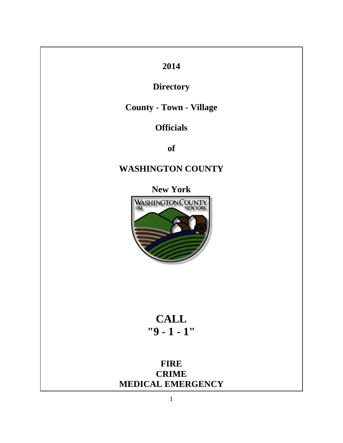# **2014**

# **Directory**

## **County - Town - Village**

## **Officials**

**of** 

# **WASHINGTON COUNTY**

**New York** 



# **CALL "9 - 1 - 1"**

**FIRE CRIME MEDICAL EMERGENCY**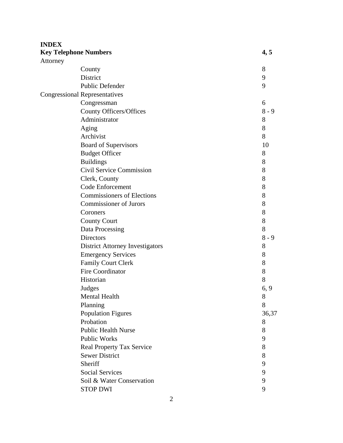| <b>Key Telephone Numbers</b><br>Attorney<br>8<br>County<br><b>District</b><br>9<br><b>Public Defender</b><br>9<br><b>Congressional Representatives</b><br>Congressman<br>6<br><b>County Officers/Offices</b><br>$8 - 9$<br>Administrator<br>8<br>Aging<br>8<br>Archivist<br>8<br>Board of Supervisors<br>10<br><b>Budget Officer</b><br>8<br>8<br><b>Buildings</b><br>Civil Service Commission<br>8<br>8<br>Clerk, County<br>Code Enforcement<br>8<br><b>Commissioners of Elections</b><br>8<br><b>Commissioner of Jurors</b><br>8<br>8<br>Coroners<br>8<br><b>County Court</b><br>8<br>Data Processing<br>$8 - 9$<br><b>Directors</b><br><b>District Attorney Investigators</b><br>8<br><b>Emergency Services</b><br>8<br><b>Family Court Clerk</b><br>8<br><b>Fire Coordinator</b><br>8<br>Historian<br>8<br>Judges<br>6, 9<br>Mental Health<br>8<br>Planning<br>8<br><b>Population Figures</b><br>36,37<br>Probation<br>8<br><b>Public Health Nurse</b><br>8<br>Public Works<br>9<br><b>Real Property Tax Service</b><br>8<br><b>Sewer District</b><br>8<br>Sheriff<br>9<br><b>Social Services</b><br>9<br>Soil & Water Conservation<br>9 | <b>INDEX</b> |                 |      |
|----------------------------------------------------------------------------------------------------------------------------------------------------------------------------------------------------------------------------------------------------------------------------------------------------------------------------------------------------------------------------------------------------------------------------------------------------------------------------------------------------------------------------------------------------------------------------------------------------------------------------------------------------------------------------------------------------------------------------------------------------------------------------------------------------------------------------------------------------------------------------------------------------------------------------------------------------------------------------------------------------------------------------------------------------------------------------------------------------------------------------------------------|--------------|-----------------|------|
|                                                                                                                                                                                                                                                                                                                                                                                                                                                                                                                                                                                                                                                                                                                                                                                                                                                                                                                                                                                                                                                                                                                                              |              |                 | 4, 5 |
|                                                                                                                                                                                                                                                                                                                                                                                                                                                                                                                                                                                                                                                                                                                                                                                                                                                                                                                                                                                                                                                                                                                                              |              |                 |      |
|                                                                                                                                                                                                                                                                                                                                                                                                                                                                                                                                                                                                                                                                                                                                                                                                                                                                                                                                                                                                                                                                                                                                              |              |                 |      |
|                                                                                                                                                                                                                                                                                                                                                                                                                                                                                                                                                                                                                                                                                                                                                                                                                                                                                                                                                                                                                                                                                                                                              |              |                 |      |
|                                                                                                                                                                                                                                                                                                                                                                                                                                                                                                                                                                                                                                                                                                                                                                                                                                                                                                                                                                                                                                                                                                                                              |              |                 |      |
|                                                                                                                                                                                                                                                                                                                                                                                                                                                                                                                                                                                                                                                                                                                                                                                                                                                                                                                                                                                                                                                                                                                                              |              |                 |      |
|                                                                                                                                                                                                                                                                                                                                                                                                                                                                                                                                                                                                                                                                                                                                                                                                                                                                                                                                                                                                                                                                                                                                              |              |                 |      |
|                                                                                                                                                                                                                                                                                                                                                                                                                                                                                                                                                                                                                                                                                                                                                                                                                                                                                                                                                                                                                                                                                                                                              |              |                 |      |
|                                                                                                                                                                                                                                                                                                                                                                                                                                                                                                                                                                                                                                                                                                                                                                                                                                                                                                                                                                                                                                                                                                                                              |              |                 |      |
|                                                                                                                                                                                                                                                                                                                                                                                                                                                                                                                                                                                                                                                                                                                                                                                                                                                                                                                                                                                                                                                                                                                                              |              |                 |      |
|                                                                                                                                                                                                                                                                                                                                                                                                                                                                                                                                                                                                                                                                                                                                                                                                                                                                                                                                                                                                                                                                                                                                              |              |                 |      |
|                                                                                                                                                                                                                                                                                                                                                                                                                                                                                                                                                                                                                                                                                                                                                                                                                                                                                                                                                                                                                                                                                                                                              |              |                 |      |
|                                                                                                                                                                                                                                                                                                                                                                                                                                                                                                                                                                                                                                                                                                                                                                                                                                                                                                                                                                                                                                                                                                                                              |              |                 |      |
|                                                                                                                                                                                                                                                                                                                                                                                                                                                                                                                                                                                                                                                                                                                                                                                                                                                                                                                                                                                                                                                                                                                                              |              |                 |      |
|                                                                                                                                                                                                                                                                                                                                                                                                                                                                                                                                                                                                                                                                                                                                                                                                                                                                                                                                                                                                                                                                                                                                              |              |                 |      |
|                                                                                                                                                                                                                                                                                                                                                                                                                                                                                                                                                                                                                                                                                                                                                                                                                                                                                                                                                                                                                                                                                                                                              |              |                 |      |
|                                                                                                                                                                                                                                                                                                                                                                                                                                                                                                                                                                                                                                                                                                                                                                                                                                                                                                                                                                                                                                                                                                                                              |              |                 |      |
|                                                                                                                                                                                                                                                                                                                                                                                                                                                                                                                                                                                                                                                                                                                                                                                                                                                                                                                                                                                                                                                                                                                                              |              |                 |      |
|                                                                                                                                                                                                                                                                                                                                                                                                                                                                                                                                                                                                                                                                                                                                                                                                                                                                                                                                                                                                                                                                                                                                              |              |                 |      |
|                                                                                                                                                                                                                                                                                                                                                                                                                                                                                                                                                                                                                                                                                                                                                                                                                                                                                                                                                                                                                                                                                                                                              |              |                 |      |
|                                                                                                                                                                                                                                                                                                                                                                                                                                                                                                                                                                                                                                                                                                                                                                                                                                                                                                                                                                                                                                                                                                                                              |              |                 |      |
|                                                                                                                                                                                                                                                                                                                                                                                                                                                                                                                                                                                                                                                                                                                                                                                                                                                                                                                                                                                                                                                                                                                                              |              |                 |      |
|                                                                                                                                                                                                                                                                                                                                                                                                                                                                                                                                                                                                                                                                                                                                                                                                                                                                                                                                                                                                                                                                                                                                              |              |                 |      |
|                                                                                                                                                                                                                                                                                                                                                                                                                                                                                                                                                                                                                                                                                                                                                                                                                                                                                                                                                                                                                                                                                                                                              |              |                 |      |
|                                                                                                                                                                                                                                                                                                                                                                                                                                                                                                                                                                                                                                                                                                                                                                                                                                                                                                                                                                                                                                                                                                                                              |              |                 |      |
|                                                                                                                                                                                                                                                                                                                                                                                                                                                                                                                                                                                                                                                                                                                                                                                                                                                                                                                                                                                                                                                                                                                                              |              |                 |      |
|                                                                                                                                                                                                                                                                                                                                                                                                                                                                                                                                                                                                                                                                                                                                                                                                                                                                                                                                                                                                                                                                                                                                              |              |                 |      |
|                                                                                                                                                                                                                                                                                                                                                                                                                                                                                                                                                                                                                                                                                                                                                                                                                                                                                                                                                                                                                                                                                                                                              |              |                 |      |
|                                                                                                                                                                                                                                                                                                                                                                                                                                                                                                                                                                                                                                                                                                                                                                                                                                                                                                                                                                                                                                                                                                                                              |              |                 |      |
|                                                                                                                                                                                                                                                                                                                                                                                                                                                                                                                                                                                                                                                                                                                                                                                                                                                                                                                                                                                                                                                                                                                                              |              |                 |      |
|                                                                                                                                                                                                                                                                                                                                                                                                                                                                                                                                                                                                                                                                                                                                                                                                                                                                                                                                                                                                                                                                                                                                              |              |                 |      |
|                                                                                                                                                                                                                                                                                                                                                                                                                                                                                                                                                                                                                                                                                                                                                                                                                                                                                                                                                                                                                                                                                                                                              |              |                 |      |
|                                                                                                                                                                                                                                                                                                                                                                                                                                                                                                                                                                                                                                                                                                                                                                                                                                                                                                                                                                                                                                                                                                                                              |              |                 |      |
|                                                                                                                                                                                                                                                                                                                                                                                                                                                                                                                                                                                                                                                                                                                                                                                                                                                                                                                                                                                                                                                                                                                                              |              |                 |      |
|                                                                                                                                                                                                                                                                                                                                                                                                                                                                                                                                                                                                                                                                                                                                                                                                                                                                                                                                                                                                                                                                                                                                              |              |                 |      |
|                                                                                                                                                                                                                                                                                                                                                                                                                                                                                                                                                                                                                                                                                                                                                                                                                                                                                                                                                                                                                                                                                                                                              |              |                 |      |
|                                                                                                                                                                                                                                                                                                                                                                                                                                                                                                                                                                                                                                                                                                                                                                                                                                                                                                                                                                                                                                                                                                                                              |              |                 |      |
|                                                                                                                                                                                                                                                                                                                                                                                                                                                                                                                                                                                                                                                                                                                                                                                                                                                                                                                                                                                                                                                                                                                                              |              |                 |      |
|                                                                                                                                                                                                                                                                                                                                                                                                                                                                                                                                                                                                                                                                                                                                                                                                                                                                                                                                                                                                                                                                                                                                              |              |                 |      |
|                                                                                                                                                                                                                                                                                                                                                                                                                                                                                                                                                                                                                                                                                                                                                                                                                                                                                                                                                                                                                                                                                                                                              |              |                 |      |
|                                                                                                                                                                                                                                                                                                                                                                                                                                                                                                                                                                                                                                                                                                                                                                                                                                                                                                                                                                                                                                                                                                                                              |              | <b>STOP DWI</b> | 9    |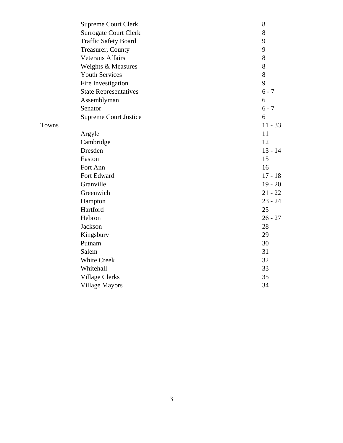| <b>Supreme Court Clerk</b>   | 8         |
|------------------------------|-----------|
| <b>Surrogate Court Clerk</b> | 8         |
| <b>Traffic Safety Board</b>  | 9         |
| Treasurer, County            | 9         |
| <b>Veterans Affairs</b>      | $8\,$     |
| Weights & Measures           | 8         |
| <b>Youth Services</b>        | 8         |
| Fire Investigation           | 9         |
| <b>State Representatives</b> | $6 - 7$   |
| Assemblyman                  | 6         |
| Senator                      | $6 - 7$   |
| <b>Supreme Court Justice</b> | 6         |
|                              | $11 - 33$ |
| Argyle                       | 11        |
| Cambridge                    | 12        |
| Dresden                      | $13 - 14$ |
| Easton                       | 15        |
| Fort Ann                     | 16        |
| Fort Edward                  | $17 - 18$ |
| Granville                    | $19 - 20$ |
| Greenwich                    | $21 - 22$ |
| Hampton                      | $23 - 24$ |
| Hartford                     | 25        |
| Hebron                       | $26 - 27$ |
| Jackson                      | 28        |
| Kingsbury                    | 29        |
| Putnam                       | 30        |
| Salem                        | 31        |
| <b>White Creek</b>           | 32        |
| Whitehall                    | 33        |
| <b>Village Clerks</b>        | 35        |
| <b>Village Mayors</b>        | 34        |
|                              |           |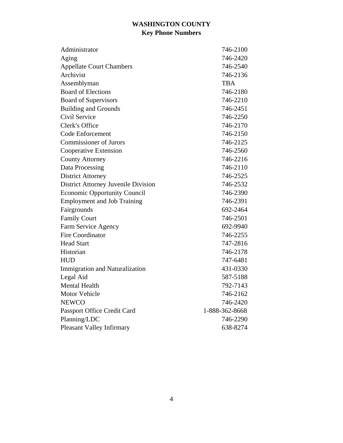### **WASHINGTON COUNTY Key Phone Numbers**

| Administrator                              | 746-2100       |
|--------------------------------------------|----------------|
| Aging                                      | 746-2420       |
| <b>Appellate Court Chambers</b>            | 746-2540       |
| Archivist                                  | 746-2136       |
| Assemblyman                                | <b>TBA</b>     |
| <b>Board of Elections</b>                  | 746-2180       |
| <b>Board of Supervisors</b>                | 746-2210       |
| <b>Building and Grounds</b>                | 746-2451       |
| Civil Service                              | 746-2250       |
| Clerk's Office                             | 746-2170       |
| <b>Code Enforcement</b>                    | 746-2150       |
| <b>Commissioner of Jurors</b>              | 746-2125       |
| Cooperative Extension                      | 746-2560       |
| <b>County Attorney</b>                     | 746-2216       |
| Data Processing                            | 746-2110       |
| <b>District Attorney</b>                   | 746-2525       |
| <b>District Attorney Juvenile Division</b> | 746-2532       |
| <b>Economic Opportunity Council</b>        | 746-2390       |
| <b>Employment and Job Training</b>         | 746-2391       |
| Fairgrounds                                | 692-2464       |
| <b>Family Court</b>                        | 746-2501       |
| Farm Service Agency                        | 692-9940       |
| <b>Fire Coordinator</b>                    | 746-2255       |
| <b>Head Start</b>                          | 747-2816       |
| Historian                                  | 746-2178       |
| <b>HUD</b>                                 | 747-6481       |
| <b>Immigration and Naturalization</b>      | 431-0330       |
| Legal Aid                                  | 587-5188       |
| <b>Mental Health</b>                       | 792-7143       |
| <b>Motor Vehicle</b>                       | 746-2162       |
| <b>NEWCO</b>                               | 746-2420       |
| Passport Office Credit Card                | 1-888-362-8668 |
| Planning/LDC                               | 746-2290       |
| Pleasant Valley Infirmary                  | 638-8274       |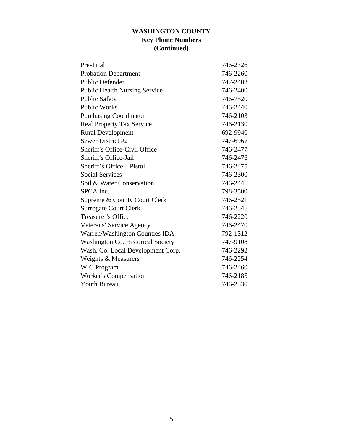#### **WASHINGTON COUNTY Key Phone Numbers (Continued)**

| Pre-Trial                            | 746-2326 |
|--------------------------------------|----------|
| <b>Probation Department</b>          | 746-2260 |
| <b>Public Defender</b>               | 747-2403 |
| <b>Public Health Nursing Service</b> | 746-2400 |
| <b>Public Safety</b>                 | 746-7520 |
| <b>Public Works</b>                  | 746-2440 |
| <b>Purchasing Coordinator</b>        | 746-2103 |
| <b>Real Property Tax Service</b>     | 746-2130 |
| <b>Rural Development</b>             | 692-9940 |
| Sewer District #2                    | 747-6967 |
| Sheriff's Office-Civil Office        | 746-2477 |
| Sheriff's Office-Jail                | 746-2476 |
| Sheriff's Office – Pistol            | 746-2475 |
| <b>Social Services</b>               | 746-2300 |
| Soil & Water Conservation            | 746-2445 |
| SPCA Inc.                            | 798-3500 |
| Supreme & County Court Clerk         | 746-2521 |
| <b>Surrogate Court Clerk</b>         | 746-2545 |
| <b>Treasurer's Office</b>            | 746-2220 |
| Veterans' Service Agency             | 746-2470 |
| Warren/Washington Counties IDA       | 792-1312 |
| Washington Co. Historical Society    | 747-9108 |
| Wash. Co. Local Development Corp.    | 746-2292 |
| Weights & Measurers                  | 746-2254 |
| <b>WIC Program</b>                   | 746-2460 |
| <b>Worker's Compensation</b>         | 746-2185 |
| <b>Youth Bureau</b>                  | 746-2330 |
|                                      |          |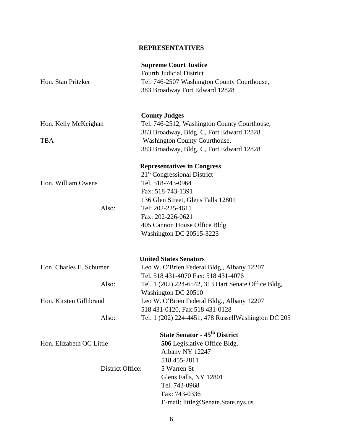#### **REPRESENTATIVES**

| Hon. Stan Pritzker                           | <b>Supreme Court Justice</b><br><b>Fourth Judicial District</b><br>Tel. 746-2507 Washington County Courthouse,<br>383 Broadway Fort Edward 12828                                                                                                                    |
|----------------------------------------------|---------------------------------------------------------------------------------------------------------------------------------------------------------------------------------------------------------------------------------------------------------------------|
| Hon. Kelly McKeighan<br><b>TBA</b>           | <b>County Judges</b><br>Tel. 746-2512, Washington County Courthouse,<br>383 Broadway, Bldg. C, Fort Edward 12828<br><b>Washington County Courthouse,</b><br>383 Broadway, Bldg. C, Fort Edward 12828                                                                |
| Hon. William Owens<br>Also:                  | <b>Representatives in Congress</b><br>21 <sup>st</sup> Congressional District<br>Tel. 518-743-0964<br>Fax: 518-743-1391<br>136 Glen Street, Glens Falls 12801<br>Tel: 202-225-4611<br>Fax: 202-226-0621<br>405 Cannon House Office Bldg<br>Washington DC 20515-3223 |
| Hon. Charles E. Schumer                      | <b>United States Senators</b><br>Leo W. O'Brien Federal Bldg., Albany 12207<br>Tel. 518 431-4070 Fax: 518 431-4076                                                                                                                                                  |
| Also:<br>Hon. Kirsten Gillibrand<br>Also:    | Tel. 1 (202) 224-6542, 313 Hart Senate Office Bldg,<br>Washington DC 20510<br>Leo W. O'Brien Federal Bldg., Albany 12207<br>518 431-0120, Fax: 518 431-0128<br>Tel. 1 (202) 224-4451, 478 RussellWashington DC 205                                                  |
| Hon. Elizabeth OC Little<br>District Office: | <b>State Senator - 45<sup>th</sup> District</b><br>506 Legislative Office Bldg.<br>Albany NY 12247<br>518 455-2811<br>5 Warren St<br>Glens Falls, NY 12801<br>Tel. 743-0968<br>Fax: 743-0336                                                                        |
|                                              | E-mail: little@Senate.State.nys.us                                                                                                                                                                                                                                  |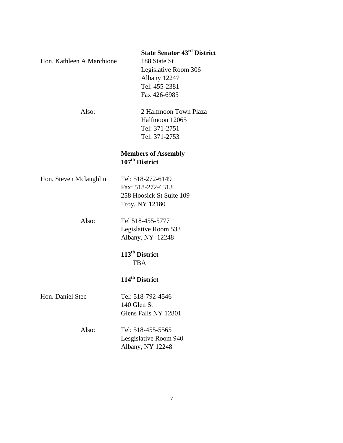#### **State Senator 43rd District**

Hon. Kathleen A Marchione 188 State St

 Legislative Room 306 Albany 12247 Tel. 455-2381 Fax 426-6985

 Also: 2 Halfmoon Town Plaza Halfmoon 12065 Tel: 371-2751 Tel: 371-2753

#### **Members of Assembly**  107<sup>th</sup> District

Hon. Steven Mclaughlin Tel: 518-272-6149 Fax: 518-272-6313 258 Hoosick St Suite 109 Troy, NY 12180

> Also: Tel 518-455-5777 Legislative Room 533 Albany, NY 12248

> > **113th District**  TBA

### **114th District**

Hon. Daniel Stec Tel: 518-792-4546

 140 Glen St Glens Falls NY 12801

### Also: Tel: 518-455-5565 Lesgislative Room 940 Albany, NY 12248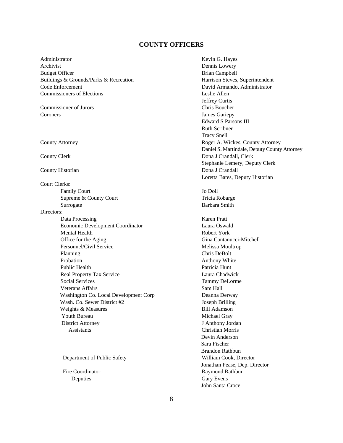#### **COUNTY OFFICERS**

Administrator **Kevin G. Hayes** Kevin G. Hayes Archivist Dennis Lowery Budget Officer Brian Campbell Buildings & Grounds/Parks & Recreation **Harrison Steves**, Superintendent Code Enforcement David Armando, Administrator Commissioners of Elections Leslie Allen

Commissioner of Jurors Chris Boucher Coroners James Gariepy

Court Clerks:

Supreme & County Court Tricia Robarge Surrogate Barbara Smith

#### Directors:

Data Processing Karen Pratt Economic Development Coordinator Laura Oswald Mental Health Robert York Office for the Aging Gina Cantanucci-Mitchell Personnel/Civil Service Melissa Moultrop Planning Chris DeBolt Probation **Anthony White** Public Health **Public Hunting Patricia** Hunt Real Property Tax Service Laura Chadwick Social Services Tammy DeLorme Veterans Affairs Sam Hall Washington Co. Local Development Corp Deanna Derway Wash. Co. Sewer District #2 Joseph Brilling Weights & Measures Bill Adamson Youth Bureau Michael Gray District Attorney J Anthony Jordan Assistants Christian Morris

Deputies Gary Evens

Jeffrey Curtis Edward S Parsons III Ruth Scribner Tracy Snell County Attorney Roger A. Wickes, County Attorney Daniel S. Martindale, Deputy County Attorney County Clerk Dona J Crandall, Clerk Dona J Crandall, Clerk Stephanie Lemery, Deputy Clerk County Historian Dona J Crandall Loretta Bates, Deputy Historian

Family Court Jo Doll

 Devin Anderson Sara Fischer Brandon Rathbun Department of Public Safety William Cook, Director Jonathan Pease, Dep. Director Fire Coordinator **Raymond Rathbun** John Santa Croce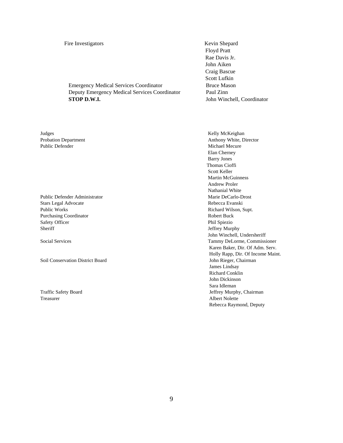Fire Investigators Kevin Shepard

 Emergency Medical Services Coordinator Bruce Mason Deputy Emergency Medical Services Coordinator Paul Zinn **STOP D.W.I.** John Winchell, Coordinator

Judges Kelly McKeighan Public Defender **Michael Mecure** Michael Mecure

Stars Legal Advocate **Rebecca Evanski** Public Works **Richard Wilson, Supt. Richard Wilson, Supt.** Purchasing Coordinator Robert Buck Safety Officer Phil Spiezio Sheriff Jeffrey Murphy

Soil Conservation District Board John Rieger, Chairman

Treasurer Albert Nolette

 Floyd Pratt Rae Davis Jr. John Aiken Craig Bascue Scott Lufkin

Probation Department Anthony White, Director Elan Cherney Barry Jones Thomas Cioffi Scott Keller Martin McGuinness Andrew Proler Nathanial White Public Defender Administrator Marie DeCarlo-Drost John Winchell, Undersheriff Social Services Tammy DeLorme, Commissioner Karen Baker, Dir. Of Adm. Serv. Holly Rapp, Dir. Of Income Maint. James Lindsay Richard Conklin John Dickinson Sara Idleman Traffic Safety Board **Jeffrey Murphy, Chairman** Rebecca Raymond, Deputy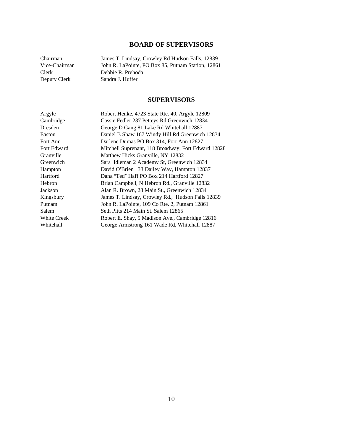#### **BOARD OF SUPERVISORS**

Chairman James T. Lindsay, Crowley Rd Hudson Falls, 12839 Vice-Chairman John R. LaPointe, PO Box 85, Putnam Station, 12861 Clerk Debbie R. Prehoda Deputy Clerk Sandra J. Huffer

#### **SUPERVISORS**

| Argyle             | Robert Henke, 4723 State Rte. 40, Argyle 12809      |
|--------------------|-----------------------------------------------------|
| Cambridge          | Cassie Fedler 237 Petteys Rd Greenwich 12834        |
| Dresden            | George D Gang 81 Lake Rd Whitehall 12887            |
| Easton             | Daniel B Shaw 167 Windy Hill Rd Greenwich 12834     |
| Fort Ann           | Darlene Dumas PO Box 314, Fort Ann 12827            |
| Fort Edward        | Mitchell Suprenant, 118 Broadway, Fort Edward 12828 |
| Granville          | Matthew Hicks Granville, NY 12832                   |
| Greenwich          | Sara Idleman 2 Academy St, Greenwich 12834          |
| Hampton            | David O'Brien 33 Dailey Way, Hampton 12837          |
| Hartford           | Dana "Ted" Haff PO Box 214 Hartford 12827           |
| Hebron             | Brian Campbell, N Hebron Rd., Granville 12832       |
| Jackson            | Alan R. Brown, 28 Main St., Greenwich 12834         |
| Kingsbury          | James T. Lindsay, Crowley Rd., Hudson Falls 12839   |
| Putnam             | John R. LaPointe, 109 Co Rte. 2, Putnam 12861       |
| Salem              | Seth Pitts 214 Main St. Salem 12865                 |
| <b>White Creek</b> | Robert E. Shay, 5 Madison Ave., Cambridge 12816     |
| Whitehall          | George Armstrong 161 Wade Rd, Whitehall 12887       |
|                    |                                                     |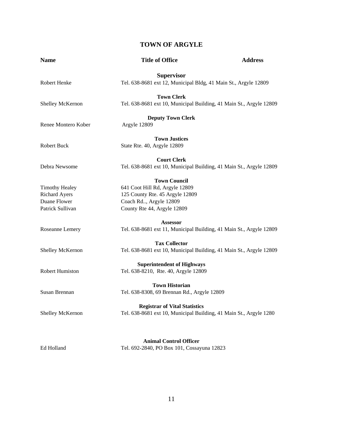#### **TOWN OF ARGYLE**

| <b>Name</b>           | <b>Title of Office</b>                                              | <b>Address</b> |
|-----------------------|---------------------------------------------------------------------|----------------|
|                       | <b>Supervisor</b>                                                   |                |
| Robert Henke          | Tel. 638-8681 ext 12, Municipal Bldg, 41 Main St., Argyle 12809     |                |
|                       | <b>Town Clerk</b>                                                   |                |
| Shelley McKernon      | Tel. 638-8681 ext 10, Municipal Building, 41 Main St., Argyle 12809 |                |
|                       | <b>Deputy Town Clerk</b>                                            |                |
| Renee Montero Kober   | Argyle 12809                                                        |                |
|                       | <b>Town Justices</b>                                                |                |
| Robert Buck           | State Rte. 40, Argyle 12809                                         |                |
|                       | <b>Court Clerk</b>                                                  |                |
| Debra Newsome         | Tel. 638-8681 ext 10, Municipal Building, 41 Main St., Argyle 12809 |                |
|                       | <b>Town Council</b>                                                 |                |
| <b>Timothy Healey</b> | 641 Coot Hill Rd, Argyle 12809                                      |                |
| <b>Richard Ayers</b>  | 125 County Rte. 45 Argyle 12809                                     |                |
| Duane Flower          | Coach Rd, Argyle 12809                                              |                |
| Patrick Sullivan      | County Rte 44, Argyle 12809                                         |                |
|                       | <b>Assessor</b>                                                     |                |
| Roseanne Lemery       | Tel. 638-8681 ext 11, Municipal Building, 41 Main St., Argyle 12809 |                |
|                       | <b>Tax Collector</b>                                                |                |
| Shelley McKernon      | Tel. 638-8681 ext 10, Municipal Building, 41 Main St., Argyle 12809 |                |
|                       | <b>Superintendent of Highways</b>                                   |                |
| Robert Humiston       | Tel. 638-8210, Rte. 40, Argyle 12809                                |                |
|                       | <b>Town Historian</b>                                               |                |
| Susan Brennan         | Tel. 638-8308, 69 Brennan Rd., Argyle 12809                         |                |
|                       | <b>Registrar of Vital Statistics</b>                                |                |
| Shelley McKernon      | Tel. 638-8681 ext 10, Municipal Building, 41 Main St., Argyle 1280  |                |
|                       |                                                                     |                |
|                       | <b>Animal Control Officer</b>                                       |                |
| Ed Holland            | Tel. 692-2840, PO Box 101, Cossayuna 12823                          |                |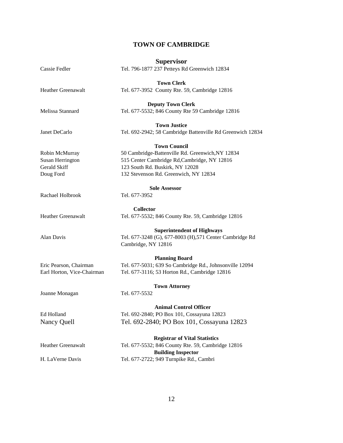#### **TOWN OF CAMBRIDGE**

|                            | <b>Supervisor</b>                                          |
|----------------------------|------------------------------------------------------------|
| Cassie Fedler              | Tel. 796-1877 237 Petteys Rd Greenwich 12834               |
|                            | <b>Town Clerk</b>                                          |
| <b>Heather Greenawalt</b>  | Tel. 677-3952 County Rte. 59, Cambridge 12816              |
|                            | <b>Deputy Town Clerk</b>                                   |
| Melissa Stannard           | Tel. 677-5532; 846 County Rte 59 Cambridge 12816           |
|                            | <b>Town Justice</b>                                        |
| Janet DeCarlo              | Tel. 692-2942; 58 Cambridge Battenville Rd Greenwich 12834 |
|                            | <b>Town Council</b>                                        |
| Robin McMurray             | 50 Cambridge-Battenville Rd. Greenwich, NY 12834           |
| Susan Herrington           | 515 Center Cambridge Rd, Cambridge, NY 12816               |
| Gerald Skiff               | 123 South Rd. Buskirk, NY 12028                            |
| Doug Ford                  | 132 Stevenson Rd. Greenwich, NY 12834                      |
|                            |                                                            |
|                            | <b>Sole Assessor</b>                                       |
| Rachael Holbrook           | Tel. 677-3952                                              |
|                            | <b>Collector</b>                                           |
| <b>Heather Greenawalt</b>  | Tel. 677-5532; 846 County Rte. 59, Cambridge 12816         |
|                            | <b>Superintendent of Highways</b>                          |
| Alan Davis                 | Tel. 677-3248 (G), 677-8003 (H), 571 Center Cambridge Rd   |
|                            | Cambridge, NY 12816                                        |
|                            | <b>Planning Board</b>                                      |
| Eric Pearson, Chairman     | Tel. 677-5031; 639 So Cambridge Rd., Johnsonville 12094    |
|                            |                                                            |
| Earl Horton, Vice-Chairman | Tel. 677-3116; 53 Horton Rd., Cambridge 12816              |
|                            | <b>Town Attorney</b>                                       |
| Joanne Monagan             | Tel. 677-5532                                              |
|                            | <b>Animal Control Officer</b>                              |
| Ed Holland                 | Tel. 692-2840; PO Box 101, Cossayuna 12823                 |
| Nancy Quell                | Tel. 692-2840; PO Box 101, Cossayuna 12823                 |
|                            | <b>Registrar of Vital Statistics</b>                       |
| <b>Heather Greenawalt</b>  | Tel. 677-5532; 846 County Rte. 59, Cambridge 12816         |
|                            | <b>Building Inspector</b>                                  |
| H. LaVerne Davis           | Tel. 677-2722; 949 Turnpike Rd., Cambri                    |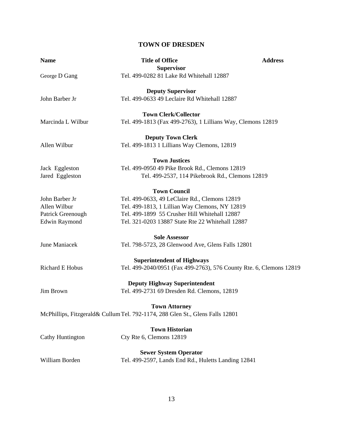#### **TOWN OF DRESDEN**

| <b>Name</b>          | <b>Title of Office</b>                                                        | <b>Address</b> |
|----------------------|-------------------------------------------------------------------------------|----------------|
| George D Gang        | <b>Supervisor</b><br>Tel. 499-0282 81 Lake Rd Whitehall 12887                 |                |
|                      | <b>Deputy Supervisor</b>                                                      |                |
| John Barber Jr       | Tel. 499-0633 49 Leclaire Rd Whitehall 12887                                  |                |
|                      | <b>Town Clerk/Collector</b>                                                   |                |
| Marcinda L Wilbur    | Tel. 499-1813 (Fax 499-2763), 1 Lillians Way, Clemons 12819                   |                |
|                      | <b>Deputy Town Clerk</b>                                                      |                |
| Allen Wilbur         | Tel. 499-1813 1 Lillians Way Clemons, 12819                                   |                |
|                      | <b>Town Justices</b>                                                          |                |
| Jack Eggleston       | Tel. 499-0950 49 Pike Brook Rd., Clemons 12819                                |                |
| Jared Eggleston      | Tel. 499-2537, 114 Pikebrook Rd., Clemons 12819                               |                |
|                      | <b>Town Council</b>                                                           |                |
| John Barber Jr       | Tel. 499-0633, 49 LeClaire Rd., Clemons 12819                                 |                |
| Allen Wilbur         | Tel. 499-1813, 1 Lillian Way Clemons, NY 12819                                |                |
| Patrick Greenough    | Tel. 499-1899 55 Crusher Hill Whitehall 12887                                 |                |
| <b>Edwin Raymond</b> | Tel. 321-0203 13887 State Rte 22 Whitehall 12887                              |                |
|                      | <b>Sole Assessor</b>                                                          |                |
| June Maniacek        | Tel. 798-5723, 28 Glenwood Ave, Glens Falls 12801                             |                |
|                      | <b>Superintendent of Highways</b>                                             |                |
| Richard E Hobus      | Tel. 499-2040/0951 (Fax 499-2763), 576 County Rte. 6, Clemons 12819           |                |
|                      | <b>Deputy Highway Superintendent</b>                                          |                |
| Jim Brown            | Tel. 499-2731 69 Dresden Rd. Clemons, 12819                                   |                |
|                      | <b>Town Attorney</b>                                                          |                |
|                      | McPhillips, Fitzgerald& Cullum Tel. 792-1174, 288 Glen St., Glens Falls 12801 |                |
|                      | <b>Town Historian</b>                                                         |                |
| Cathy Huntington     | Cty Rte 6, Clemons 12819                                                      |                |
|                      | <b>Sewer System Operator</b>                                                  |                |
| William Borden       | Tel. 499-2597, Lands End Rd., Huletts Landing 12841                           |                |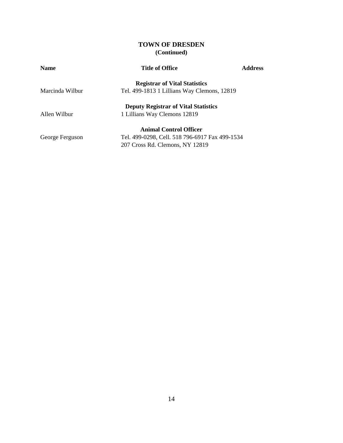#### **TOWN OF DRESDEN (Continued)**

| <b>Name</b>                          | <b>Title of Office</b>                         | <b>Address</b> |
|--------------------------------------|------------------------------------------------|----------------|
| <b>Registrar of Vital Statistics</b> |                                                |                |
| Marcinda Wilbur                      | Tel. 499-1813 1 Lillians Way Clemons, 12819    |                |
|                                      | <b>Deputy Registrar of Vital Statistics</b>    |                |
| Allen Wilbur                         | 1 Lillians Way Clemons 12819                   |                |
|                                      | <b>Animal Control Officer</b>                  |                |
| George Ferguson                      | Tel. 499-0298, Cell. 518 796-6917 Fax 499-1534 |                |
|                                      | 207 Cross Rd. Clemons, NY 12819                |                |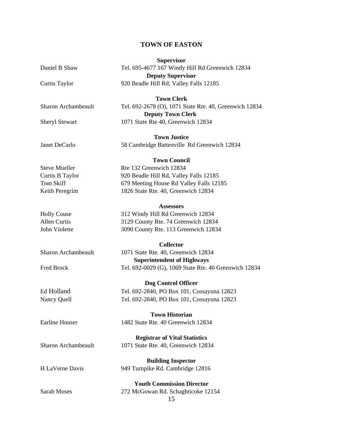#### **TOWN OF EASTON**

|                                           | <b>Supervisor</b>                                      |
|-------------------------------------------|--------------------------------------------------------|
| Daniel B Shaw                             | Tel. 695-4677 167 Windy Hill Rd Greenwich 12834        |
|                                           | <b>Deputy Supervisor</b>                               |
| Curtis Taylor                             | 920 Beadle Hill Rd; Valley Falls 12185                 |
|                                           |                                                        |
|                                           | <b>Town Clerk</b>                                      |
| <b>Sharon Archambeault</b>                | Tel. 692-2678 (O), 1071 State Rte. 40, Greenwich 12834 |
|                                           | <b>Deputy Town Clerk</b>                               |
| <b>Sheryl Stewart</b>                     | 1071 State Rte 40, Greenwich 12834                     |
|                                           | <b>Town Justice</b>                                    |
| Janet DeCarlo                             | 58 Cambridge Battenville Rd Greenwich 12834            |
|                                           |                                                        |
|                                           | <b>Town Council</b>                                    |
| <b>Steve Mueller</b>                      | Rte 132 Greenwich 12834                                |
| Curtis B Taylor                           | 920 Beadle Hill Rd, Valley Falls 12185                 |
| <b>Tom Skiff</b>                          | 679 Meeting House Rd Valley Falls 12185                |
| Keith Peregrim                            | 1826 State Rte. 40, Greenwich 12834                    |
|                                           |                                                        |
|                                           | Assessors                                              |
| <b>Holly Couse</b><br><b>Allen Curtis</b> | 312 Windy Hill Rd Greenwich 12834                      |
| John Violette                             | 3129 County Rte. 74 Greenwich 12834                    |
|                                           | 3090 County Rte. 113 Greenwich 12834                   |
|                                           | <b>Collector</b>                                       |
| <b>Sharon Archambeault</b>                | 1071 State Rte. 40, Greenwich 12834                    |
|                                           | <b>Superintendent of Highways</b>                      |
| <b>Fred Brock</b>                         | Tel. 692-0029 (G), 1069 State Rte. 40 Greenwich 12834  |
|                                           | Dog Control Officer                                    |
| Ed Holland                                | Tel. 692-2840, PO Box 101, Cossayuna 12823             |
| Nancy Quell                               | Tel. 692-2840, PO Box 101, Cossayuna 12823             |
|                                           |                                                        |
|                                           | <b>Town Historian</b>                                  |
| <b>Earline Houser</b>                     | 1482 State Rte. 40 Greenwich 12834                     |
|                                           | <b>Registrar of Vital Statistics</b>                   |
| <b>Sharon Archambeault</b>                | 1071 State Rte. 40, Greenwich 12834                    |
|                                           |                                                        |
|                                           | <b>Building Inspector</b>                              |
| H LaVerne Davis                           | 949 Turnpike Rd. Cambridge 12816                       |
|                                           | <b>Youth Commission Director</b>                       |
| <b>Sarah Moses</b>                        | 272 McGowan Rd. Schaghticoke 12154                     |
|                                           | 15                                                     |
|                                           |                                                        |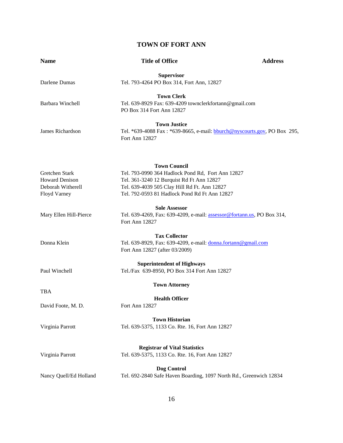#### **TOWN OF FORT ANN**

| <b>Name</b>                                                                  | <b>Title of Office</b>                                                                                                                                                                                                 | <b>Address</b> |
|------------------------------------------------------------------------------|------------------------------------------------------------------------------------------------------------------------------------------------------------------------------------------------------------------------|----------------|
| Darlene Dumas                                                                | <b>Supervisor</b><br>Tel. 793-4264 PO Box 314, Fort Ann, 12827                                                                                                                                                         |                |
| <b>Barbara Winchell</b>                                                      | <b>Town Clerk</b><br>Tel. 639-8929 Fax: 639-4209 townclerkfortann@gmail.com<br>PO Box 314 Fort Ann 12827                                                                                                               |                |
| James Richardson                                                             | <b>Town Justice</b><br>Tel. *639-4088 Fax: *639-8665, e-mail: bburch@nyscourts.gov, PO Box 295,<br>Fort Ann 12827                                                                                                      |                |
| Gretchen Stark<br><b>Howard Denison</b><br>Deborah Witherell<br>Floyd Varney | <b>Town Council</b><br>Tel. 793-0990 364 Hadlock Pond Rd, Fort Ann 12827<br>Tel. 361-3240 12 Burquist Rd Ft Ann 12827<br>Tel. 639-4039 505 Clay Hill Rd Ft. Ann 12827<br>Tel. 792-0593 81 Hadlock Pond Rd Ft Ann 12827 |                |
| Mary Ellen Hill-Pierce                                                       | <b>Sole Assessor</b><br>Tel. 639-4269, Fax: 639-4209, e-mail: assessor@fortann.us, PO Box 314,<br>Fort Ann 12827                                                                                                       |                |
| Donna Klein                                                                  | <b>Tax Collector</b><br>Tel. 639-8929, Fax: 639-4209, e-mail: donna.fortann@gmail.com<br>Fort Ann 12827 (after 03/2009)                                                                                                |                |
| Paul Winchell                                                                | <b>Superintendent of Highways</b><br>Tel./Fax 639-8950, PO Box 314 Fort Ann 12827                                                                                                                                      |                |
|                                                                              | <b>Town Attorney</b>                                                                                                                                                                                                   |                |
| <b>TBA</b><br>David Foote, M. D.                                             | <b>Health Officer</b><br>Fort Ann 12827                                                                                                                                                                                |                |
| Virginia Parrott                                                             | <b>Town Historian</b><br>Tel. 639-5375, 1133 Co. Rte. 16, Fort Ann 12827                                                                                                                                               |                |
| Virginia Parrott                                                             | <b>Registrar of Vital Statistics</b><br>Tel. 639-5375, 1133 Co. Rte. 16, Fort Ann 12827                                                                                                                                |                |
| Nancy Quell/Ed Holland                                                       | Dog Control<br>Tel. 692-2840 Safe Haven Boarding, 1097 North Rd., Greenwich 12834                                                                                                                                      |                |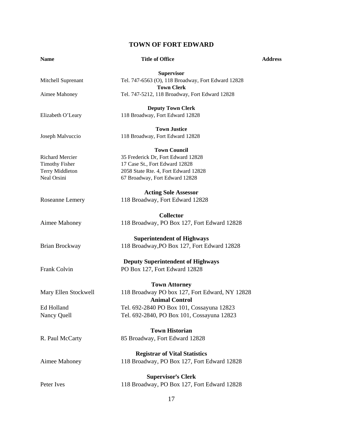#### **TOWN OF FORT EDWARD**

| <b>Name</b>            | <b>Title of Office</b>                                                  | <b>Address</b> |
|------------------------|-------------------------------------------------------------------------|----------------|
|                        | <b>Supervisor</b>                                                       |                |
| Mitchell Suprenant     | Tel. 747-6563 (O), 118 Broadway, Fort Edward 12828<br><b>Town Clerk</b> |                |
| Aimee Mahoney          | Tel. 747-5212, 118 Broadway, Fort Edward 12828                          |                |
|                        | <b>Deputy Town Clerk</b>                                                |                |
| Elizabeth O'Leary      | 118 Broadway, Fort Edward 12828                                         |                |
|                        | <b>Town Justice</b>                                                     |                |
| Joseph Malvuccio       | 118 Broadway, Fort Edward 12828                                         |                |
|                        | <b>Town Council</b>                                                     |                |
| <b>Richard Mercier</b> | 35 Frederick Dr, Fort Edward 12828                                      |                |
| <b>Timothy Fisher</b>  | 17 Case St., Fort Edward 12828                                          |                |
| Terry Middleton        | 2058 State Rte. 4, Fort Edward 12828                                    |                |
| Neal Orsini            | 67 Broadway, Fort Edward 12828                                          |                |
|                        | <b>Acting Sole Assessor</b>                                             |                |
| Roseanne Lemery        | 118 Broadway, Fort Edward 12828                                         |                |
|                        | <b>Collector</b>                                                        |                |
| Aimee Mahoney          | 118 Broadway, PO Box 127, Fort Edward 12828                             |                |
|                        | <b>Superintendent of Highways</b>                                       |                |
| Brian Brockway         | 118 Broadway, PO Box 127, Fort Edward 12828                             |                |
|                        | <b>Deputy Superintendent of Highways</b>                                |                |
| Frank Colvin           | PO Box 127, Fort Edward 12828                                           |                |
|                        | <b>Town Attorney</b>                                                    |                |
| Mary Ellen Stockwell   | 118 Broadway PO box 127, Fort Edward, NY 12828                          |                |
|                        | <b>Animal Control</b>                                                   |                |
| Ed Holland             | Tel. 692-2840 PO Box 101, Cossayuna 12823                               |                |
| Nancy Quell            | Tel. 692-2840, PO Box 101, Cossayuna 12823                              |                |
|                        |                                                                         |                |
|                        | <b>Town Historian</b>                                                   |                |
| R. Paul McCarty        | 85 Broadway, Fort Edward 12828                                          |                |
|                        | <b>Registrar of Vital Statistics</b>                                    |                |
| Aimee Mahoney          | 118 Broadway, PO Box 127, Fort Edward 12828                             |                |
|                        | <b>Supervisor's Clerk</b>                                               |                |
| Peter Ives             | 118 Broadway, PO Box 127, Fort Edward 12828                             |                |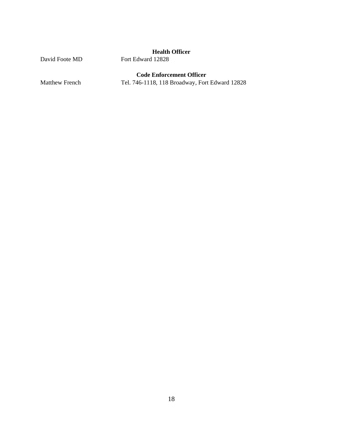#### **Health Officer**

David Foote MD Fort Edward 12828

#### **Code Enforcement Officer**

Matthew French Tel. 746-1118, 118 Broadway, Fort Edward 12828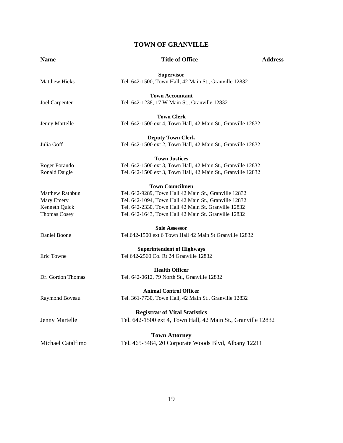#### **TOWN OF GRANVILLE**

| <b>Name</b>            | <b>Title of Office</b>                                       | <b>Address</b> |
|------------------------|--------------------------------------------------------------|----------------|
|                        | <b>Supervisor</b>                                            |                |
| <b>Matthew Hicks</b>   | Tel. 642-1500, Town Hall, 42 Main St., Granville 12832       |                |
|                        | <b>Town Accountant</b>                                       |                |
| Joel Carpenter         | Tel. 642-1238, 17 W Main St., Granville 12832                |                |
|                        | <b>Town Clerk</b>                                            |                |
| Jenny Martelle         | Tel. 642-1500 ext 4, Town Hall, 42 Main St., Granville 12832 |                |
|                        | <b>Deputy Town Clerk</b>                                     |                |
| Julia Goff             | Tel. 642-1500 ext 2, Town Hall, 42 Main St., Granville 12832 |                |
|                        | <b>Town Justices</b>                                         |                |
| Roger Forando          | Tel. 642-1500 ext 3, Town Hall, 42 Main St., Granville 12832 |                |
| Ronald Daigle          | Tel. 642-1500 ext 3, Town Hall, 42 Main St., Granville 12832 |                |
|                        | <b>Town Councilmen</b>                                       |                |
| <b>Matthew Rathbun</b> | Tel. 642-9289, Town Hall 42 Main St., Granville 12832        |                |
| Mary Emery             | Tel. 642-1094, Town Hall 42 Main St., Granville 12832        |                |
| Kenneth Quick          | Tel. 642-2330, Town Hall 42 Main St. Granville 12832         |                |
| <b>Thomas Cosey</b>    | Tel. 642-1643, Town Hall 42 Main St. Granville 12832         |                |
|                        | <b>Sole Assessor</b>                                         |                |
| Daniel Boone           | Tel.642-1500 ext 6 Town Hall 42 Main St Granville 12832      |                |
|                        | <b>Superintendent of Highways</b>                            |                |
| Eric Towne             | Tel 642-2560 Co. Rt 24 Granville 12832                       |                |
|                        | <b>Health Officer</b>                                        |                |
| Dr. Gordon Thomas      | Tel. 642-0612, 79 North St., Granville 12832                 |                |
|                        | <b>Animal Control Officer</b>                                |                |
| Raymond Boyeau         | Tel. 361-7730, Town Hall, 42 Main St., Granville 12832       |                |
|                        | <b>Registrar of Vital Statistics</b>                         |                |
| Jenny Martelle         | Tel. 642-1500 ext 4, Town Hall, 42 Main St., Granville 12832 |                |
|                        | <b>Town Attorney</b>                                         |                |
| Michael Catalfimo      | Tel. 465-3484, 20 Corporate Woods Blvd, Albany 12211         |                |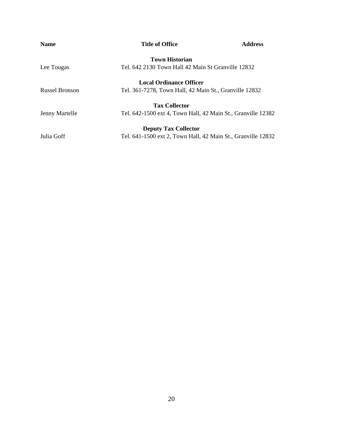| <b>Name</b>    | <b>Title of Office</b>                                       | <b>Address</b> |
|----------------|--------------------------------------------------------------|----------------|
|                | <b>Town Historian</b>                                        |                |
| Lee Tougas     | Tel. 642 2130 Town Hall 42 Main St Granville 12832           |                |
|                | <b>Local Ordinance Officer</b>                               |                |
| Russel Bronson | Tel. 361-7278, Town Hall, 42 Main St., Granville 12832       |                |
|                | <b>Tax Collector</b>                                         |                |
| Jenny Martelle | Tel. 642-1500 ext 4, Town Hall, 42 Main St., Granville 12382 |                |
|                | <b>Deputy Tax Collector</b>                                  |                |
| Julia Goff     | Tel. 641-1500 ext 2, Town Hall, 42 Main St., Granville 12832 |                |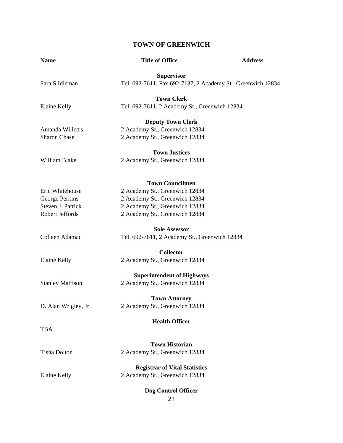#### **TOWN OF GREENWICH**

| <b>Name</b>             | <b>Title of Office</b>                                      | <b>Address</b> |
|-------------------------|-------------------------------------------------------------|----------------|
|                         | <b>Supervisor</b>                                           |                |
| Sara S Idleman          | Tel. 692-7611, Fax 692-7137, 2 Academy St., Greenwich 12834 |                |
|                         | <b>Town Clerk</b>                                           |                |
| Elaine Kelly            | Tel. 692-7611, 2 Academy St., Greenwich 12834               |                |
|                         | <b>Deputy Town Clerk</b>                                    |                |
| Amanda Willett s        | 2 Academy St., Greenwich 12834                              |                |
| <b>Sharon Chase</b>     | 2 Academy St., Greenwich 12834                              |                |
|                         | <b>Town Justices</b>                                        |                |
| William Blake           | 2 Academy St., Greenwich 12834                              |                |
|                         | <b>Town Councilmen</b>                                      |                |
| Eric Whitehouse         | 2 Academy St., Greenwich 12834                              |                |
| George Perkins          | 2 Academy St., Greenwich 12834                              |                |
| Steven J. Patrick       | 2 Academy St., Greenwich 12834                              |                |
| Robert Jeffords         | 2 Academy St., Greenwich 12834                              |                |
|                         | <b>Sole Assessor</b>                                        |                |
| Colleen Adamac          | Tel. 692-7611, 2 Academy St., Greenwich 12834               |                |
|                         | <b>Collector</b>                                            |                |
| Elaine Kelly            | 2 Academy St., Greenwich 12834                              |                |
|                         | <b>Superintendent of Highways</b>                           |                |
| <b>Stanley Mattison</b> | 2 Academy St., Greenwich 12834                              |                |
|                         | <b>Town Attorney</b>                                        |                |
| D. Alan Wrigley, Jr.    | 2 Academy St., Greenwich 12834                              |                |
|                         | <b>Health Officer</b>                                       |                |
| <b>TBA</b>              |                                                             |                |
|                         | <b>Town Historian</b>                                       |                |
| <b>Tisha Dolton</b>     | 2 Academy St., Greenwich 12834                              |                |
|                         | <b>Registrar of Vital Statistics</b>                        |                |
| Elaine Kelly            | 2 Academy St., Greenwich 12834                              |                |
|                         | Dog Control Officer                                         |                |
|                         | 21                                                          |                |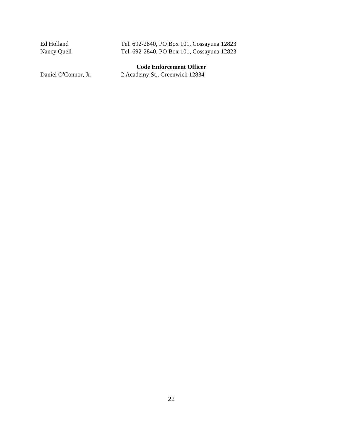| Ed Holland  | Tel. 692-2840, PO Box 101, Cossayuna 12823 |
|-------------|--------------------------------------------|
| Nancy Quell | Tel. 692-2840, PO Box 101, Cossayuna 12823 |
|             | <b>Code Enforcement Officer</b>            |

Daniel O'Connor, Jr. 2 Academy St., Greenwich 12834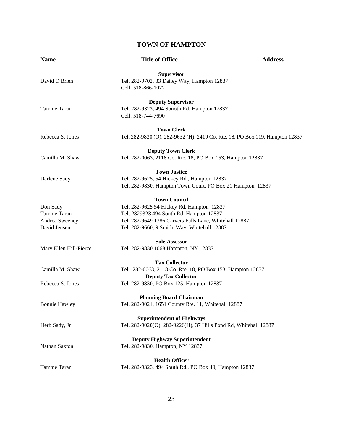#### **TOWN OF HAMPTON**

| <b>Name</b>            | <b>Title of Office</b>                                                       | <b>Address</b> |
|------------------------|------------------------------------------------------------------------------|----------------|
|                        | <b>Supervisor</b>                                                            |                |
| David O'Brien          | Tel. 282-9702, 33 Dailey Way, Hampton 12837                                  |                |
|                        | Cell: 518-866-1022                                                           |                |
|                        | <b>Deputy Supervisor</b>                                                     |                |
| Tamme Taran            | Tel. 282-9323, 494 Souoth Rd, Hampton 12837                                  |                |
|                        | Cell: 518-744-7690                                                           |                |
|                        | <b>Town Clerk</b>                                                            |                |
| Rebecca S. Jones       | Tel. 282-9830 (O), 282-9632 (H), 2419 Co. Rte. 18, PO Box 119, Hampton 12837 |                |
|                        | <b>Deputy Town Clerk</b>                                                     |                |
| Camilla M. Shaw        | Tel. 282-0063, 2118 Co. Rte. 18, PO Box 153, Hampton 12837                   |                |
|                        | <b>Town Justice</b>                                                          |                |
| Darlene Sady           | Tel. 282-9625, 54 Hickey Rd., Hampton 12837                                  |                |
|                        | Tel. 282-9830, Hampton Town Court, PO Box 21 Hampton, 12837                  |                |
|                        | <b>Town Council</b>                                                          |                |
| Don Sady               | Tel. 282-9625 54 Hickey Rd, Hampton 12837                                    |                |
| Tamme Taran            | Tel. 2829323 494 South Rd, Hampton 12837                                     |                |
| Andrea Sweeney         | Tel. 282-9649 1386 Carvers Falls Lane, Whitehall 12887                       |                |
| David Jensen           | Tel. 282-9660, 9 Smith Way, Whitehall 12887                                  |                |
|                        | <b>Sole Assessor</b>                                                         |                |
| Mary Ellen Hill-Pierce | Tel. 282-9830 1068 Hampton, NY 12837                                         |                |
|                        | <b>Tax Collector</b>                                                         |                |
| Camilla M. Shaw        | Tel. 282-0063, 2118 Co. Rte. 18, PO Box 153, Hampton 12837                   |                |
|                        | <b>Deputy Tax Collector</b>                                                  |                |
| Rebecca S. Jones       | Tel. 282-9830, PO Box 125, Hampton 12837                                     |                |
|                        | <b>Planning Board Chairman</b>                                               |                |
| <b>Bonnie Hawley</b>   | Tel. 282-9021, 1651 County Rte. 11, Whitehall 12887                          |                |
|                        | <b>Superintendent of Highways</b>                                            |                |
| Herb Sady, Jr          | Tel. 282-9020(O), 282-9226(H), 37 Hills Pond Rd, Whitehall 12887             |                |
|                        | <b>Deputy Highway Superintendent</b>                                         |                |
| Nathan Saxton          | Tel. 282-9830, Hampton, NY 12837                                             |                |
|                        | <b>Health Officer</b>                                                        |                |
| Tamme Taran            | Tel. 282-9323, 494 South Rd., PO Box 49, Hampton 12837                       |                |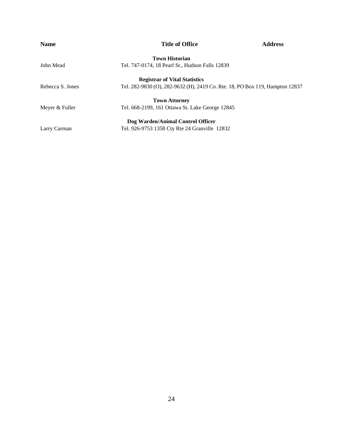| <b>Name</b>      | <b>Title of Office</b>                                                       | <b>Address</b> |
|------------------|------------------------------------------------------------------------------|----------------|
|                  | <b>Town Historian</b>                                                        |                |
| John Mead        | Tel. 747-0174, 18 Pearl St., Hudson Falls 12839                              |                |
|                  | <b>Registrar of Vital Statistics</b>                                         |                |
| Rebecca S. Jones | Tel. 282-9830 (O), 282-9632 (H), 2419 Co. Rte. 18, PO Box 119, Hampton 12837 |                |
|                  | <b>Town Attorney</b>                                                         |                |
| Meyer & Fuller   | Tel. 668-2199, 161 Ottawa St. Lake George 12845                              |                |
|                  | Dog Warden/Animal Control Officer                                            |                |
| Larry Carman     | Tel. 926-9753 1358 Cty Rte 24 Granville 12832                                |                |
|                  |                                                                              |                |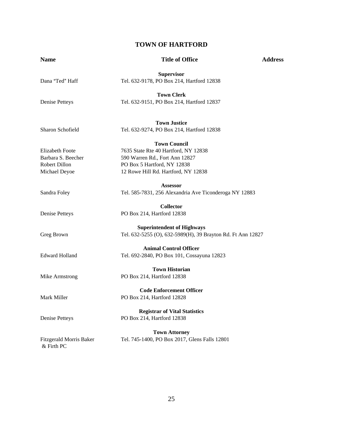#### **TOWN OF HARTFORD**

#### **Name Address 19 Address 19 Address 19 Address 19 Address 19 Address 19 Address 19 Address 19 Address 19 Address 19 Address 19 Address 19 Address 19 Address 19 Address 19 Address 19 Address 19 Address 19 Address 19 Address**

**Supervisor**  Dana "Ted" Haff Tel. 632-9178, PO Box 214, Hartford 12838 **Town Clerk**  Denise Petteys Tel. 632-9151, PO Box 214, Hartford 12837 **Town Justice**  Sharon Schofield Tel. 632-9274, PO Box 214, Hartford 12838 **Town Council**  Elizabeth Foote 7635 State Rte 40 Hartford, NY 12838 Barbara S. Beecher 590 Warren Rd., Fort Ann 12827 Robert Dillon PO Box 5 Hartford, NY 12838 Michael Deyoe 12 Rowe Hill Rd. Hartford, NY 12838 **Assessor**  Sandra Foley Tel. 585-7831, 256 Alexandria Ave Ticonderoga NY 12883 **Collector**  Denise Petteys PO Box 214, Hartford 12838 **Superintendent of Highways**  Greg Brown Tel. 632-5255 (O), 632-5989(H), 39 Brayton Rd. Ft Ann 12827 **Animal Control Officer**  Edward Holland Tel. 692-2840, PO Box 101, Cossayuna 12823 **Town Historian**  Mike Armstrong PO Box 214, Hartford 12838 **Code Enforcement Officer**  Mark Miller PO Box 214, Hartford 12828 **Registrar of Vital Statistics**  Denise Petteys PO Box 214, Hartford 12838 **Town Attorney** Fitzgerald Morris Baker Tel. 745-1400, PO Box 2017, Glens Falls 12801 & Firth PC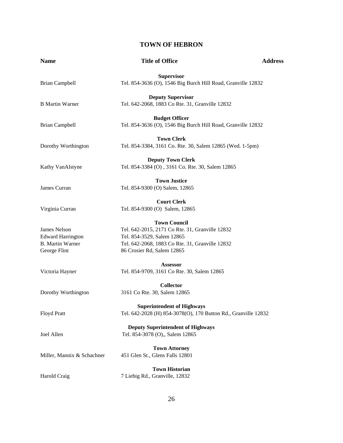#### **TOWN OF HEBRON**

| <b>Name</b>                                                                         | <b>Title of Office</b>                                                                                                                                                                | <b>Address</b> |
|-------------------------------------------------------------------------------------|---------------------------------------------------------------------------------------------------------------------------------------------------------------------------------------|----------------|
| <b>Brian Campbell</b>                                                               | <b>Supervisor</b><br>Tel. 854-3636 (O), 1546 Big Burch Hill Road, Granville 12832                                                                                                     |                |
| <b>B</b> Martin Warner                                                              | <b>Deputy Supervisor</b><br>Tel. 642-2068, 1883 Co Rte. 31, Granville 12832                                                                                                           |                |
| <b>Brian Campbell</b>                                                               | <b>Budget Officer</b><br>Tel. 854-3636 (O), 1546 Big Burch Hill Road, Granville 12832                                                                                                 |                |
| Dorothy Worthington                                                                 | <b>Town Clerk</b><br>Tel. 854-3384, 3161 Co. Rte. 30, Salem 12865 (Wed. 1-5pm)                                                                                                        |                |
| Kathy VanAlstyne                                                                    | <b>Deputy Town Clerk</b><br>Tel. 854-3384 (O), 3161 Co. Rte. 30, Salem 12865                                                                                                          |                |
| James Curran                                                                        | <b>Town Justice</b><br>Tel. 854-9300 (O) Salem, 12865                                                                                                                                 |                |
| Virginia Curran                                                                     | <b>Court Clerk</b><br>Tel. 854-9300 (O) Salem, 12865                                                                                                                                  |                |
| James Nelson<br><b>Edward Harrington</b><br><b>B.</b> Martin Warner<br>George Flint | <b>Town Council</b><br>Tel. 642-2015, 2171 Co Rte. 31, Granville 12832<br>Tel. 854-3529, Salem 12865<br>Tel. 642-2068, 1883 Co Rte. 31, Granville 12832<br>86 Crosier Rd, Salem 12865 |                |
| Victoria Hayner                                                                     | <b>Assessor</b><br>Tel. 854-9709, 3161 Co Rte. 30, Salem 12865                                                                                                                        |                |
| Dorothy Worthington                                                                 | <b>Collector</b><br>3161 Co Rte. 30, Salem 12865                                                                                                                                      |                |
| Floyd Pratt                                                                         | <b>Superintendent of Highways</b><br>Tel. 642-2028 (H) 854-3078(O), 170 Button Rd., Granville 12832                                                                                   |                |
| Joel Allen                                                                          | <b>Deputy Superintendent of Highways</b><br>Tel. 854-3078 (O),, Salem 12865                                                                                                           |                |
| Miller, Mannix & Schachner                                                          | <b>Town Attorney</b><br>451 Glen St., Glens Falls 12801                                                                                                                               |                |
| Harold Craig                                                                        | <b>Town Historian</b><br>7 Liebig Rd., Granville, 12832                                                                                                                               |                |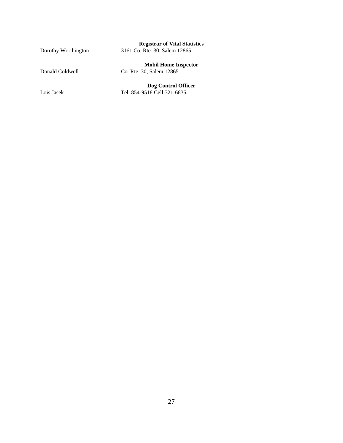#### **Registrar of Vital Statistics**

Dorothy Worthington 3161 Co. Rte. 30, Salem 12865

**Mobil Home Inspector** 

Donald Coldwell Co. Rte. 30, Salem 12865

**Dog Control Officer** Lois Jasek Tel. 854-9518 Cell:321-6835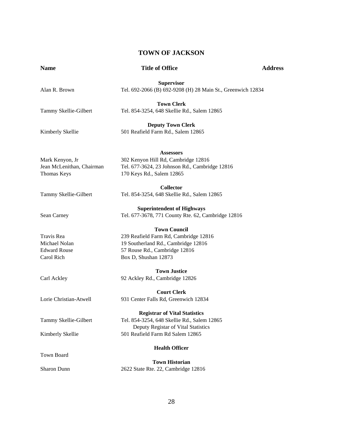#### **TOWN OF JACKSON**

| <b>Name</b>               | <b>Title of Office</b>                                      | <b>Address</b> |
|---------------------------|-------------------------------------------------------------|----------------|
|                           | <b>Supervisor</b>                                           |                |
| Alan R. Brown             | Tel. 692-2066 (B) 692-9208 (H) 28 Main St., Greenwich 12834 |                |
|                           | <b>Town Clerk</b>                                           |                |
| Tammy Skellie-Gilbert     | Tel. 854-3254, 648 Skellie Rd., Salem 12865                 |                |
|                           | <b>Deputy Town Clerk</b>                                    |                |
| Kimberly Skellie          | 501 Reafield Farm Rd., Salem 12865                          |                |
|                           | <b>Assessors</b>                                            |                |
| Mark Kenyon, Jr           | 302 Kenyon Hill Rd, Cambridge 12816                         |                |
| Jean McLenithan, Chairman | Tel. 677-3624, 23 Johnson Rd., Cambridge 12816              |                |
| Thomas Keys               | 170 Keys Rd., Salem 12865                                   |                |
|                           | <b>Collector</b>                                            |                |
| Tammy Skellie-Gilbert     | Tel. 854-3254, 648 Skellie Rd., Salem 12865                 |                |
|                           | <b>Superintendent of Highways</b>                           |                |
| Sean Carney               | Tel. 677-3678, 771 County Rte. 62, Cambridge 12816          |                |
|                           | <b>Town Council</b>                                         |                |
| Travis Rea                | 239 Reafield Farm Rd, Cambridge 12816                       |                |
| Michael Nolan             | 19 Southerland Rd., Cambridge 12816                         |                |
| <b>Edward Rouse</b>       | 57 Rouse Rd., Cambridge 12816                               |                |
| Carol Rich                | Box D, Shushan 12873                                        |                |
|                           | <b>Town Justice</b>                                         |                |
| Carl Ackley               | 92 Ackley Rd., Cambridge 12826                              |                |
|                           | <b>Court Clerk</b>                                          |                |
| Lorie Christian-Atwell    | 931 Center Falls Rd, Greenwich 12834                        |                |
|                           | <b>Registrar of Vital Statistics</b>                        |                |
| Tammy Skellie-Gilbert     | Tel. 854-3254, 648 Skellie Rd., Salem 12865                 |                |
|                           | Deputy Registar of Vital Statistics                         |                |
| Kimberly Skellie          | 501 Reafield Farm Rd Salem 12865                            |                |
|                           | <b>Health Officer</b>                                       |                |
| Town Board                | <b>Town Historian</b>                                       |                |
| Sharon Dunn               | 2622 State Rte. 22, Cambridge 12816                         |                |
|                           |                                                             |                |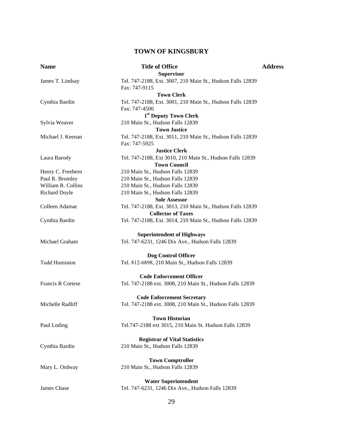#### **TOWN OF KINGSBURY**

| <b>Name</b>              | <b>Title of Office</b>                                     | <b>Address</b> |
|--------------------------|------------------------------------------------------------|----------------|
|                          | <b>Supervisor</b>                                          |                |
| James T. Lindsay         | Tel. 747-2188, Ext. 3007, 210 Main St., Hudson Falls 12839 |                |
|                          | Fax: 747-9115                                              |                |
|                          | <b>Town Clerk</b>                                          |                |
| Cynthia Bardin           | Tel. 747-2188, Ext. 3001, 210 Main St., Hudson Falls 12839 |                |
|                          | Fax: 747-4500                                              |                |
|                          | 1 <sup>st</sup> Deputy Town Clerk                          |                |
| Sylvia Weaver            | 210 Main St., Hudson Falls 12839                           |                |
|                          | <b>Town Justice</b>                                        |                |
| Michael J. Keenan        | Tel. 747-2188, Ext. 3011, 210 Main St., Hudson Falls 12839 |                |
|                          | Fax: 747-5925                                              |                |
|                          | <b>Justice Clerk</b>                                       |                |
| Laura Barody             | Tel. 747-2188, Ext 3010, 210 Main St., Hudson Falls 12839  |                |
|                          | <b>Town Council</b>                                        |                |
| Henry C. Freebern        | 210 Main St., Hudson Falls 12839                           |                |
| Paul R. Bromley          | 210 Main St., Hudson Falls 12839                           |                |
| William R. Collins       | 210 Main St., Hudson Falls 12839                           |                |
| Richard Doyle            | 210 Main St., Hudson Falls 12839                           |                |
|                          | <b>Sole Assessor</b>                                       |                |
| Colleen Adamac           | Tel. 747-2188, Ext. 3013, 210 Main St., Hudson Falls 12839 |                |
|                          | <b>Collector of Taxes</b>                                  |                |
| Cynthia Bardin           | Tel. 747-2188, Ext. 3014, 210 Main St., Hudson Falls 12839 |                |
|                          | <b>Superintendent of Highways</b>                          |                |
| Michael Graham           | Tel. 747-6231, 1246 Dix Ave., Hudson Falls 12839           |                |
|                          |                                                            |                |
|                          | Dog Control Officer                                        |                |
| <b>Todd Humiston</b>     | Tel. 812-6898, 210 Main St., Hudson Falls 12839            |                |
|                          | <b>Code Enforcement Officer</b>                            |                |
| <b>Francis R Cortese</b> | Tel. 747-2188 ext. 3008, 210 Main St., Hudson Falls 12839  |                |
|                          | <b>Code Enforcement Secretary</b>                          |                |
| Michelle Radliff         | Tel. 747-2188 ext. 3008, 210 Main St., Hudson Falls 12839  |                |
|                          |                                                            |                |
|                          | <b>Town Historian</b>                                      |                |
| Paul Loding              | Tel.747-2188 ext 3015, 210 Main St. Hudson Falls 12839     |                |
|                          |                                                            |                |
|                          | <b>Registrar of Vital Statistics</b>                       |                |
| Cynthia Bardin           | 210 Main St., Hudson Falls 12839                           |                |
|                          | <b>Town Comptroller</b>                                    |                |
| Mary L. Ordway           | 210 Main St., Hudson Falls 12839                           |                |
|                          |                                                            |                |
|                          | <b>Water Superintendent</b>                                |                |
| James Chase              | Tel. 747-6231, 1246 Dix Ave., Hudson Falls 12839           |                |
|                          |                                                            |                |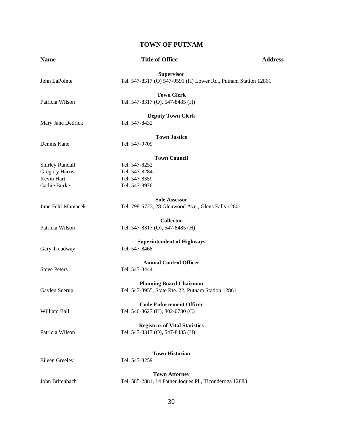#### **TOWN OF PUTNAM**

| <b>Name</b>                                                                   | <b>Title of Office</b>                                                                  | <b>Address</b> |
|-------------------------------------------------------------------------------|-----------------------------------------------------------------------------------------|----------------|
| John LaPointe                                                                 | <b>Supervisor</b><br>Tel. 547-8317 (O) 547-9591 (H) Lower Rd., Putnam Station 12861     |                |
| Patricia Wilson                                                               | <b>Town Clerk</b><br>Tel. 547-8317 (O), 547-8485 (H)                                    |                |
| Mary Jane Dedrick                                                             | <b>Deputy Town Clerk</b><br>Tel. 547-8432                                               |                |
| Dennis Kane                                                                   | <b>Town Justice</b><br>Tel. 547-9709                                                    |                |
| <b>Shirley Randall</b><br><b>Gregory Harris</b><br>Kevin Hart<br>Cathie Burke | <b>Town Council</b><br>Tel. 547-8252<br>Tel. 547-8284<br>Tel. 547-8359<br>Tel. 547-8976 |                |
| June Fehl-Maniacek                                                            | <b>Sole Assessor</b><br>Tel. 798-5723, 28 Glenwood Ave., Glens Falls 12801              |                |
| Patricia Wilson                                                               | <b>Collector</b><br>Tel. 547-8317 (O), 547-8485 (H)                                     |                |
| Gary Treadway                                                                 | <b>Superintendent of Highways</b><br>Tel. 547-8468                                      |                |
| <b>Steve Peters</b>                                                           | <b>Animal Control Officer</b><br>Tel. 547-8444                                          |                |
| Gaylen Seerup                                                                 | <b>Planning Board Chairman</b><br>Tel. 547-8955, State Rte. 22, Putnam Station 12861    |                |
| William Ball                                                                  | <b>Code Enforcement Officer</b><br>Tel. 546-8627 (H), 802-0780 (C)                      |                |
| Patricia Wilson                                                               | <b>Registrar of Vital Statistics</b><br>Tel. 547-8317 (O), 547-8485 (H)                 |                |
| Eileen Greeley                                                                | <b>Town Historian</b><br>Tel. 547-8259                                                  |                |
| John Britenbach                                                               | <b>Town Attorney</b><br>Tel. 585-2881, 14 Father Joques Pl., Ticonderoga 12883          |                |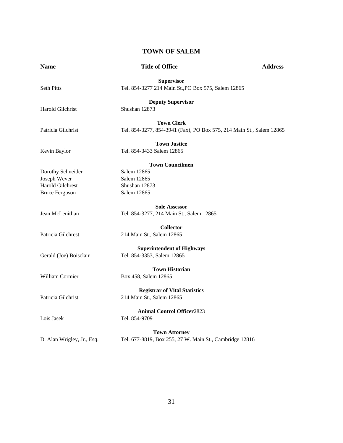#### **TOWN OF SALEM**

| <b>Name</b>                | <b>Title of Office</b>                                                                    | <b>Address</b> |
|----------------------------|-------------------------------------------------------------------------------------------|----------------|
| <b>Seth Pitts</b>          | <b>Supervisor</b><br>Tel. 854-3277 214 Main St., PO Box 575, Salem 12865                  |                |
| <b>Harold Gilchrist</b>    | <b>Deputy Supervisor</b><br>Shushan 12873                                                 |                |
| Patricia Gilchrist         | <b>Town Clerk</b><br>Tel. 854-3277, 854-3941 (Fax), PO Box 575, 214 Main St., Salem 12865 |                |
| Kevin Baylor               | <b>Town Justice</b><br>Tel. 854-3433 Salem 12865                                          |                |
|                            | <b>Town Councilmen</b>                                                                    |                |
| Dorothy Schneider          | Salem 12865                                                                               |                |
| Joseph Wever               | Salem 12865                                                                               |                |
| Harold Gilchrest           | Shushan 12873                                                                             |                |
| <b>Bruce Ferguson</b>      | Salem 12865                                                                               |                |
|                            | <b>Sole Assessor</b>                                                                      |                |
| Jean McLenithan            | Tel. 854-3277, 214 Main St., Salem 12865                                                  |                |
|                            | <b>Collector</b>                                                                          |                |
| Patricia Gilchrest         | 214 Main St., Salem 12865                                                                 |                |
| Gerald (Joe) Boisclair     | <b>Superintendent of Highways</b><br>Tel. 854-3353, Salem 12865                           |                |
|                            |                                                                                           |                |
| William Cormier            | <b>Town Historian</b><br>Box 458, Salem 12865                                             |                |
|                            | <b>Registrar of Vital Statistics</b>                                                      |                |
| Patricia Gilchrist         | 214 Main St., Salem 12865                                                                 |                |
| Lois Jasek                 | <b>Animal Control Officer2823</b><br>Tel. 854-9709                                        |                |
|                            | <b>Town Attorney</b>                                                                      |                |
| D. Alan Wrigley, Jr., Esq. | Tel. 677-8819, Box 255, 27 W. Main St., Cambridge 12816                                   |                |
|                            |                                                                                           |                |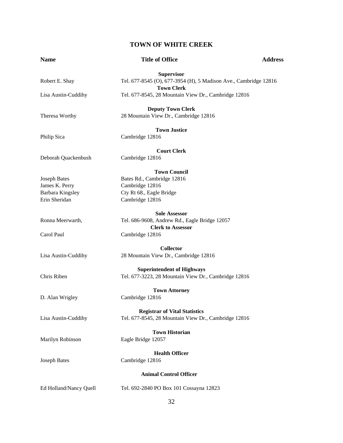#### **TOWN OF WHITE CREEK**

| <b>Name</b>            | <b>Title of Office</b>                                                                       | <b>Address</b> |
|------------------------|----------------------------------------------------------------------------------------------|----------------|
|                        | <b>Supervisor</b>                                                                            |                |
| Robert E. Shay         | Tel. 677-8545 (O), 677-3954 (H), 5 Madison Ave., Cambridge 12816                             |                |
| Lisa Austin-Cuddihy    | <b>Town Clerk</b><br>Tel. 677-8545, 28 Mountain View Dr., Cambridge 12816                    |                |
|                        |                                                                                              |                |
|                        | <b>Deputy Town Clerk</b>                                                                     |                |
| Theresa Worthy         | 28 Mountain View Dr., Cambridge 12816                                                        |                |
|                        | <b>Town Justice</b>                                                                          |                |
| Philip Sica            | Cambridge 12816                                                                              |                |
|                        |                                                                                              |                |
|                        | <b>Court Clerk</b>                                                                           |                |
| Deborah Quackenbush    | Cambridge 12816                                                                              |                |
|                        | <b>Town Council</b>                                                                          |                |
| <b>Joseph Bates</b>    | Bates Rd., Cambridge 12816                                                                   |                |
| James K. Perry         | Cambridge 12816                                                                              |                |
| Barbara Kingsley       | Cty Rt 68., Eagle Bridge                                                                     |                |
| Erin Sheridan          | Cambridge 12816                                                                              |                |
|                        |                                                                                              |                |
|                        | <b>Sole Assessor</b>                                                                         |                |
| Ronna Meerwarth,       | Tel. 686-9608, Andrew Rd., Eagle Bridge 12057                                                |                |
|                        | <b>Clerk to Assessor</b>                                                                     |                |
| Carol Paul             | Cambridge 12816                                                                              |                |
|                        | <b>Collector</b>                                                                             |                |
|                        |                                                                                              |                |
| Lisa Austin-Cuddihy    | 28 Mountain View Dr., Cambridge 12816                                                        |                |
|                        | <b>Superintendent of Highways</b>                                                            |                |
| Chris Riben            | Tel. 677-3223, 28 Mountain View Dr., Cambridge 12816                                         |                |
|                        |                                                                                              |                |
|                        | <b>Town Attorney</b>                                                                         |                |
| D. Alan Wrigley        | Cambridge 12816                                                                              |                |
|                        |                                                                                              |                |
|                        | <b>Registrar of Vital Statistics</b><br>Tel. 677-8545, 28 Mountain View Dr., Cambridge 12816 |                |
| Lisa Austin-Cuddihy    |                                                                                              |                |
|                        | <b>Town Historian</b>                                                                        |                |
| Marilyn Robinson       | Eagle Bridge 12057                                                                           |                |
|                        |                                                                                              |                |
|                        | <b>Health Officer</b>                                                                        |                |
| <b>Joseph Bates</b>    | Cambridge 12816                                                                              |                |
|                        | <b>Animal Control Officer</b>                                                                |                |
|                        |                                                                                              |                |
| Ed Holland/Nancy Quell | Tel. 692-2840 PO Box 101 Cossayna 12823                                                      |                |
|                        |                                                                                              |                |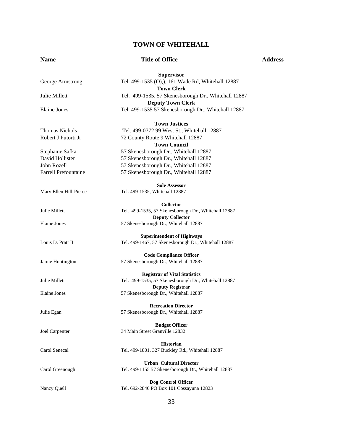#### **TOWN OF WHITEHALL**

**Supervisor** 

#### **Name 3.1 Address 3.1 Address 3.1 Address 3.1 Address 3.1 Address 3.1 Address 3.1 Address 3.1 Address 3.1 Address 3.1 Address 3.1 Address 3.1 Address 3.1 Address 3.1 Address 3.1 Address 3.1 Address 3.1 Address 3.1 Address**

George Armstrong Tel. 499-1535 (O), 161 Wade Rd, Whitehall 12887 **Town Clerk**  Julie Millett Tel. 499-1535, 57 Skenesborough Dr., Whitehall 12887 **Deputy Town Clerk**  Elaine Jones Tel. 499-1535 57 Skenesborough Dr., Whitehall 12887 **Town Justices**  Thomas Nichols Tel. 499-0772 99 West St., Whitehall 12887 Robert J Putorti Jr 72 County Route 9 Whitehall 12887 **Town Council**  Stephanie Safka 57 Skenesborough Dr., Whitehall 12887 David Hollister 57 Skenesborough Dr., Whitehall 12887 John Rozell 57 Skenesborough Dr., Whitehall 12887 Farrell Prefountaine 57 Skenesborough Dr., Whitehall 12887 **Sole Assessor**  Mary Ellen Hill-Pierce Tel. 499-1535, Whitehall 12887 **Collector**  Julie Millett Tel. 499-1535, 57 Skenesborough Dr., Whitehall 12887 **Deputy Collector**  Elaine Jones 57 Skenesborough Dr., Whitehall 12887 **Superintendent of Highways**  Louis D. Pratt II Tel. 499-1467, 57 Skenesborough Dr., Whitehall 12887 **Code Compliance Officer**  Jamie Huntington 57 Skenesborough Dr., Whitehall 12887 **Registrar of Vital Statistics**  Julie Millett Tel. 499-1535, 57 Skenesborough Dr., Whitehall 12887 **Deputy Registrar**  Elaine Jones 57 Skenesborough Dr., Whitehall 12887 **Recreation Director**  Julie Egan 57 Skenesborough Dr., Whitehall 12887 **Budget Officer**  Joel Carpenter 34 Main Street Granville 12832 **Historian**  Carol Senecal Tel. 499-1801, 327 Buckley Rd., Whitehall 12887 **Urban Cultural Director**  Carol Greenough Tel. 499-1155 57 Skenesborough Dr., Whitehall 12887 **Dog Control Officer**  Nancy Quell Tel. 692-2840 PO Box 101 Cossayuna 12823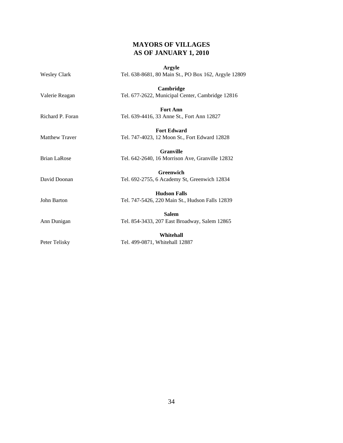#### **MAYORS OF VILLAGES AS OF JANUARY 1, 2010**

|                       | Argyle                                               |  |  |
|-----------------------|------------------------------------------------------|--|--|
| <b>Wesley Clark</b>   | Tel. 638-8681, 80 Main St., PO Box 162, Argyle 12809 |  |  |
|                       | Cambridge                                            |  |  |
| Valerie Reagan        | Tel. 677-2622, Municipal Center, Cambridge 12816     |  |  |
|                       | <b>Fort Ann</b>                                      |  |  |
| Richard P. Foran      | Tel. 639-4416, 33 Anne St., Fort Ann 12827           |  |  |
|                       | <b>Fort Edward</b>                                   |  |  |
| <b>Matthew Traver</b> | Tel. 747-4023, 12 Moon St., Fort Edward 12828        |  |  |
|                       | <b>Granville</b>                                     |  |  |
| <b>Brian LaRose</b>   | Tel. 642-2640, 16 Morrison Ave, Granville 12832      |  |  |
|                       | <b>Greenwich</b>                                     |  |  |
| David Doonan          | Tel. 692-2755, 6 Academy St, Greenwich 12834         |  |  |
|                       | <b>Hudson Falls</b>                                  |  |  |
| John Barton           | Tel. 747-5426, 220 Main St., Hudson Falls 12839      |  |  |
|                       | <b>Salem</b>                                         |  |  |
| Ann Dunigan           | Tel. 854-3433, 207 East Broadway, Salem 12865        |  |  |
|                       | Whitehall                                            |  |  |
| Peter Telisky         | Tel. 499-0871, Whitehall 12887                       |  |  |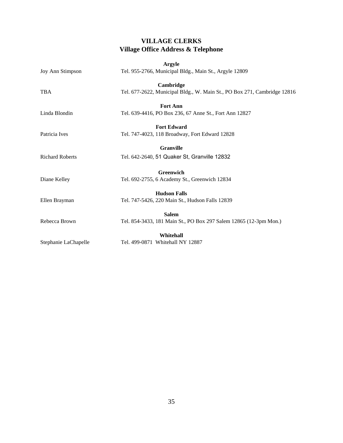#### **VILLAGE CLERKS Village Office Address & Telephone**

|                         | Argyle                                                                   |
|-------------------------|--------------------------------------------------------------------------|
| <b>Joy Ann Stimpson</b> | Tel. 955-2766, Municipal Bldg., Main St., Argyle 12809                   |
|                         | Cambridge                                                                |
| <b>TBA</b>              | Tel. 677-2622, Municipal Bldg., W. Main St., PO Box 271, Cambridge 12816 |
|                         | <b>Fort Ann</b>                                                          |
| Linda Blondin           | Tel. 639-4416, PO Box 236, 67 Anne St., Fort Ann 12827                   |
|                         | <b>Fort Edward</b>                                                       |
| Patricia Ives           | Tel. 747-4023, 118 Broadway, Fort Edward 12828                           |
|                         | <b>Granville</b>                                                         |
| <b>Richard Roberts</b>  | Tel. 642-2640, 51 Quaker St, Granville 12832                             |
|                         | <b>Greenwich</b>                                                         |
| Diane Kelley            | Tel. 692-2755, 6 Academy St., Greenwich 12834                            |
|                         | <b>Hudson Falls</b>                                                      |
| Ellen Brayman           | Tel. 747-5426, 220 Main St., Hudson Falls 12839                          |
|                         | <b>Salem</b>                                                             |
| Rebecca Brown           | Tel. 854-3433, 181 Main St., PO Box 297 Salem 12865 (12-3pm Mon.)        |
|                         | Whitehall                                                                |
| Stephanie LaChapelle    | Tel. 499-0871 Whitehall NY 12887                                         |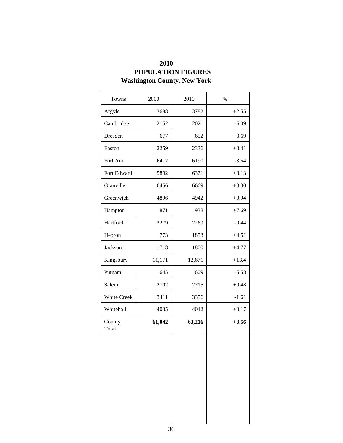| 2010                               |
|------------------------------------|
| <b>POPULATION FIGURES</b>          |
| <b>Washington County, New York</b> |

| Towns              | 2000   | 2010   | $\%$    |
|--------------------|--------|--------|---------|
| Argyle             | 3688   | 3782   | $+2.55$ |
| Cambridge          | 2152   | 2021   | $-6.09$ |
| Dresden            | 677    | 652    | $-3.69$ |
| Easton             | 2259   | 2336   | $+3.41$ |
| Fort Ann           | 6417   | 6190   | $-3.54$ |
| Fort Edward        | 5892   | 6371   | $+8.13$ |
| Granville          | 6456   | 6669   | $+3.30$ |
| Greenwich          | 4896   | 4942   | $+0.94$ |
| Hampton            | 871    | 938    | $+7.69$ |
| Hartford           | 2279   | 2269   | $-0.44$ |
| Hebron             | 1773   | 1853   | $+4.51$ |
| Jackson            | 1718   | 1800   | $+4.77$ |
| Kingsbury          | 11,171 | 12,671 | $+13.4$ |
| Putnam             | 645    | 609    | $-5.58$ |
| Salem              | 2702   | 2715   | $+0.48$ |
| <b>White Creek</b> | 3411   | 3356   | $-1.61$ |
| Whitehall          | 4035   | 4042   | $+0.17$ |
| County<br>Total    | 61,042 | 63,216 | $+3.56$ |
|                    |        |        |         |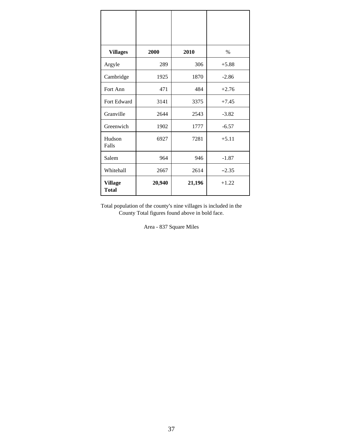| <b>Villages</b>                | 2000   | 2010   | $\%$    |
|--------------------------------|--------|--------|---------|
| Argyle                         | 289    | 306    | $+5.88$ |
| Cambridge                      | 1925   | 1870   | $-2.86$ |
| Fort Ann                       | 471    | 484    | $+2.76$ |
| Fort Edward                    | 3141   | 3375   | $+7.45$ |
| Granville                      | 2644   | 2543   | $-3.82$ |
| Greenwich                      | 1902   | 1777   | $-6.57$ |
| Hudson<br>Falls                | 6927   | 7281   | $+5.11$ |
| Salem                          | 964    | 946    | $-1.87$ |
| Whitehall                      | 2667   | 2614   | $-2.35$ |
| <b>Village</b><br><b>Total</b> | 20,940 | 21,196 | $+1.22$ |

Total population of the county's nine villages is included in the County Total figures found above in bold face.

Area - 837 Square Miles